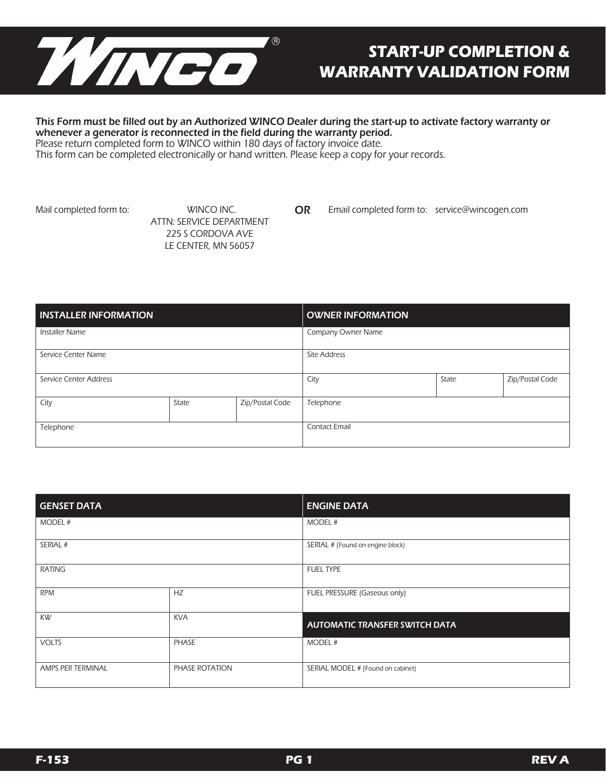

## **START-UP COMPLETION & WARRANTY VALIDATION FORM**

#### This Form must be filled out by an Authorized WINCO Dealer during the start-up to activate factory warranty or whenever a generator is reconnected in the field during the warranty period.

Please return completed form to WINCO within 180 days of factory invoice date.

This form can be completed electronically or hand written. Please keep a copy for your records.

Mail completed form to: WINCO INC.

 ATTN: SERVICE DEPARTMENT 225 S CORDOVA AVE LE CENTER, MN 56057

OR Email completed form to: service@wincogen.com

| <b>INSTALLER INFORMATION</b> |       |                 | <b>OWNER INFORMATION</b>         |  |  |  |
|------------------------------|-------|-----------------|----------------------------------|--|--|--|
| <b>Installer Name</b>        |       |                 | Company Owner Name               |  |  |  |
| Service Center Name          |       |                 | <b>Site Address</b>              |  |  |  |
| Service Center Address       |       |                 | Zip/Postal Code<br>City<br>State |  |  |  |
| City                         | State | Zip/Postal Code | Telephone                        |  |  |  |
| Telephone                    |       |                 | <b>Contact Email</b>             |  |  |  |

| <b>GENSET DATA</b> |                | <b>ENGINE DATA</b>                |  |  |
|--------------------|----------------|-----------------------------------|--|--|
| MODEL #            |                | MODEL #                           |  |  |
| SERIAL #           |                | SERIAL # (Found on engine block)  |  |  |
| <b>RATING</b>      |                | <b>FUEL TYPE</b>                  |  |  |
| <b>RPM</b>         | HZ             | FUEL PRESSURE (Gaseous only)      |  |  |
| <b>KW</b>          | <b>KVA</b>     | AUTOMATIC TRANSFER SWITCH DATA    |  |  |
| <b>VOLTS</b>       | PHASE          | MODEL #                           |  |  |
| AMPS PER TERMINAL  | PHASE ROTATION | SERIAL MODEL # (Found on cabinet) |  |  |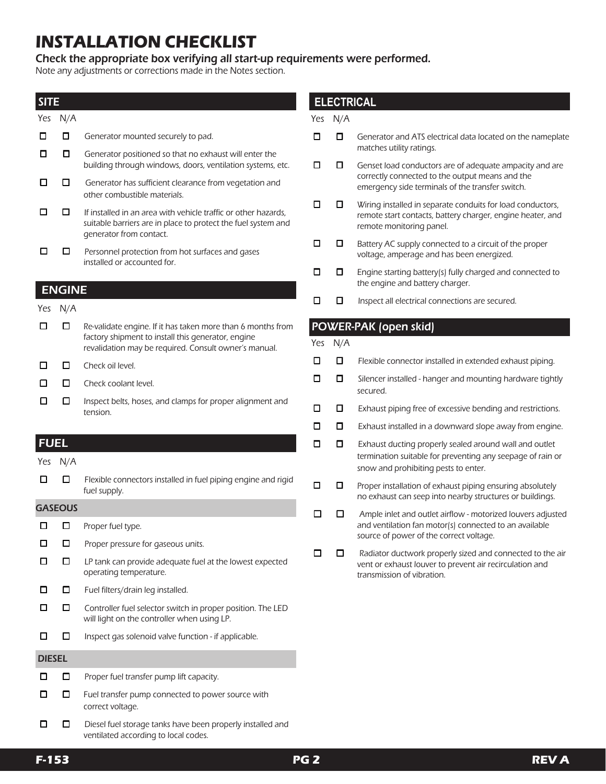# **INSTALLATION CHECKLIST**

Check the appropriate box verifying all start-up requirements were performed.

Note any adjustments or corrections made in the Notes section.

#### **SITE**

| Yes           | N/A            |                                                                                                                                                                            |  |  |  |  |
|---------------|----------------|----------------------------------------------------------------------------------------------------------------------------------------------------------------------------|--|--|--|--|
| п             | □              | Generator mounted securely to pad.                                                                                                                                         |  |  |  |  |
| п             | □              | Generator positioned so that no exhaust will enter the<br>building through windows, doors, ventilation systems, etc.                                                       |  |  |  |  |
| п             | п              | Generator has sufficient clearance from vegetation and<br>other combustible materials.                                                                                     |  |  |  |  |
| П             | п              | If installed in an area with vehicle traffic or other hazards,<br>suitable barriers are in place to protect the fuel system and<br>generator from contact.                 |  |  |  |  |
| П             | П              | Personnel protection from hot surfaces and gases<br>installed or accounted for.                                                                                            |  |  |  |  |
|               | <b>ENGINE</b>  |                                                                                                                                                                            |  |  |  |  |
| Yes           | N/A            |                                                                                                                                                                            |  |  |  |  |
| п             | □              | Re-validate engine. If it has taken more than 6 months from<br>factory shipment to install this generator, engine<br>revalidation may be required. Consult owner's manual. |  |  |  |  |
| П             | П              | Check oil level.                                                                                                                                                           |  |  |  |  |
| п             | П              | Check coolant level.                                                                                                                                                       |  |  |  |  |
| п             | П              | Inspect belts, hoses, and clamps for proper alignment and<br>tension.                                                                                                      |  |  |  |  |
|               |                |                                                                                                                                                                            |  |  |  |  |
| <b>FUEL</b>   |                |                                                                                                                                                                            |  |  |  |  |
| Yes           | N/A            |                                                                                                                                                                            |  |  |  |  |
| п             | П              | Flexible connectors installed in fuel piping engine and rigid<br>fuel supply.                                                                                              |  |  |  |  |
|               | <b>GASEOUS</b> |                                                                                                                                                                            |  |  |  |  |
| П             | П              | Proper fuel type.                                                                                                                                                          |  |  |  |  |
| п             | П              | Proper pressure for gaseous units.                                                                                                                                         |  |  |  |  |
| П             | П              | LP tank can provide adequate fuel at the lowest expected<br>operating temperature.                                                                                         |  |  |  |  |
|               | □              | Fuel filters/drain leg installed.                                                                                                                                          |  |  |  |  |
|               | □              | Controller fuel selector switch in proper position. The LED<br>will light on the controller when using LP.                                                                 |  |  |  |  |
| п             | □              | Inspect gas solenoid valve function - if applicable.                                                                                                                       |  |  |  |  |
| <b>DIESEL</b> |                |                                                                                                                                                                            |  |  |  |  |
| П             | ◻              | Proper fuel transfer pump lift capacity.                                                                                                                                   |  |  |  |  |
| П             | □              | Fuel transfer pump connected to power source with<br>correct voltage.                                                                                                      |  |  |  |  |

### **ELECTRICAL**

#### Yes N/A

- □ □ Generator and ATS electrical data located on the nameplate matches utility ratings.
- □ □ Genset load conductors are of adequate ampacity and are correctly connected to the output means and the emergency side terminals of the transfer switch.
- □ □ Wiring installed in separate conduits for load conductors, remote start contacts, battery charger, engine heater, and remote monitoring panel.
- □ □ Battery AC supply connected to a circuit of the proper voltage, amperage and has been energized.
- □ □ Engine starting battery(s) fully charged and connected to the engine and battery charger.
- $\Box$   $\Box$  Inspect all electrical connections are secured.

### POWER-PAK (open skid)

Yes N/A

- $\Box$   $\Box$  Flexible connector installed in extended exhaust piping.
- $\Box$   $\Box$  Silencer installed hanger and mounting hardware tightly secured.
- $\Box$   $\Box$  Exhaust piping free of excessive bending and restrictions.
- $\Box$   $\Box$  Exhaust installed in a downward slope away from engine.
- $\Box$   $\Box$  Exhaust ducting properly sealed around wall and outlet termination suitable for preventing any seepage of rain or snow and prohibiting pests to enter.
- $\Box$   $\Box$  Proper installation of exhaust piping ensuring absolutely no exhaust can seep into nearby structures or buildings.
- □ □ Ample inlet and outlet airflow motorized louvers adjusted and ventilation fan motor(s) connected to an available source of power of the correct voltage.
- $\Box$   $\Box$  Radiator ductwork properly sized and connected to the air vent or exhaust louver to prevent air recirculation and transmission of vibration.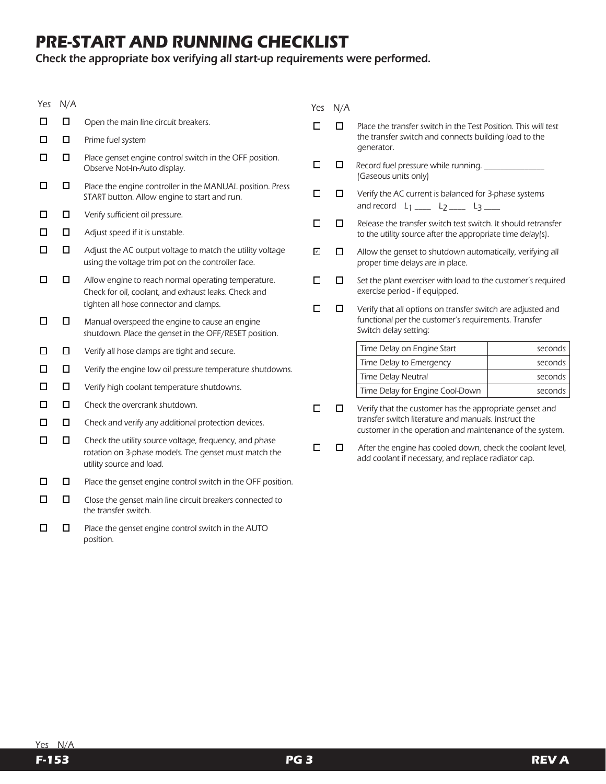# **PRE-START AND RUNNING CHECKLIST**

## Check the appropriate box verifying all start-up requirements were performed.

| Yes | N/A    |                                                                                                                                                   | Yes         | N/A    |                                                                                                                                              |         |  |
|-----|--------|---------------------------------------------------------------------------------------------------------------------------------------------------|-------------|--------|----------------------------------------------------------------------------------------------------------------------------------------------|---------|--|
| ш   | □      | Open the main line circuit breakers.                                                                                                              |             | □      | Place the transfer switch in the Test Position. This will test                                                                               |         |  |
| □   | □      | Prime fuel system                                                                                                                                 |             |        | the transfer switch and connects building load to the<br>generator.                                                                          |         |  |
| □   | □      | Place genset engine control switch in the OFF position.<br>Observe Not-In-Auto display.                                                           | □           | □      | Record fuel pressure while running. ______________<br>(Gaseous units only)                                                                   |         |  |
| □   | □      | Place the engine controller in the MANUAL position. Press<br>START button. Allow engine to start and run.                                         | □           | $\Box$ | Verify the AC current is balanced for 3-phase systems<br>and record $L_1$ ____ $L_2$ ____ $L_3$ ____                                         |         |  |
| □   | □      | Verify sufficient oil pressure.                                                                                                                   | □<br>□      |        |                                                                                                                                              |         |  |
| □   | $\Box$ | Adjust speed if it is unstable.                                                                                                                   |             |        | Release the transfer switch test switch. It should retransfer<br>to the utility source after the appropriate time delay(s).                  |         |  |
| □   | □      | Adjust the AC output voltage to match the utility voltage<br>using the voltage trim pot on the controller face.                                   | ☑           | □      | Allow the genset to shutdown automatically, verifying all<br>proper time delays are in place.                                                |         |  |
| □   | □      | Allow engine to reach normal operating temperature.<br>Check for oil, coolant, and exhaust leaks. Check and                                       | □           | □      | Set the plant exerciser with load to the customer's required<br>exercise period - if equipped.                                               |         |  |
| □   | □      | tighten all hose connector and clamps.<br>Manual overspeed the engine to cause an engine<br>shutdown. Place the genset in the OFF/RESET position. | П<br>$\Box$ |        | Verify that all options on transfer switch are adjusted and<br>functional per the customer's requirements. Transfer<br>Switch delay setting: |         |  |
| □   | □      | Verify all hose clamps are tight and secure.                                                                                                      |             |        | Time Delay on Engine Start                                                                                                                   | seconds |  |
| □   | □      | Verify the engine low oil pressure temperature shutdowns.                                                                                         |             |        | Time Delay to Emergency                                                                                                                      | seconds |  |
| □   | □      |                                                                                                                                                   |             |        | Time Delay Neutral                                                                                                                           | seconds |  |
|     |        | Verify high coolant temperature shutdowns.                                                                                                        |             |        | Time Delay for Engine Cool-Down                                                                                                              | seconds |  |
| □   | □      | Check the overcrank shutdown.                                                                                                                     | □<br>□      |        | Verify that the customer has the appropriate genset and                                                                                      |         |  |
| □   | $\Box$ | Check and verify any additional protection devices.                                                                                               |             |        | transfer switch literature and manuals. Instruct the<br>customer in the operation and maintenance of the system.                             |         |  |
| □   | $\Box$ | Check the utility source voltage, frequency, and phase<br>rotation on 3-phase models. The genset must match the<br>utility source and load.       | □           | □      | After the engine has cooled down, check the coolant level,<br>add coolant if necessary, and replace radiator cap.                            |         |  |
| □   | □      | Place the genset engine control switch in the OFF position.                                                                                       |             |        |                                                                                                                                              |         |  |
| □   | □      | Close the genset main line circuit breakers connected to<br>the transfer switch.                                                                  |             |        |                                                                                                                                              |         |  |

 □ □ Place the genset engine control switch in the AUTO position.